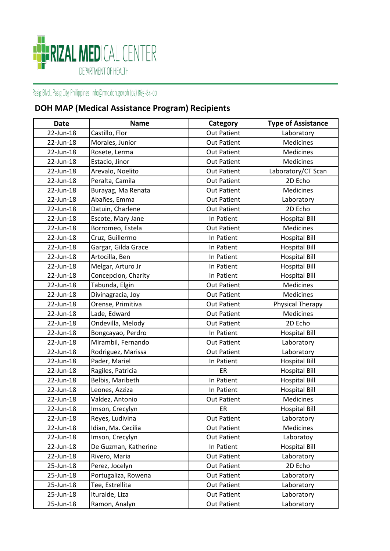

## Pasig Blvd., Pasig City, Philippines info@rmc.doh.gov.ph (02) 865-84-00

## **DOH MAP (Medical Assistance Program) Recipients**

| <b>Date</b> | <b>Name</b>          | Category           | <b>Type of Assistance</b> |
|-------------|----------------------|--------------------|---------------------------|
| 22-Jun-18   | Castillo, Flor       | <b>Out Patient</b> | Laboratory                |
| 22-Jun-18   | Morales, Junior      | <b>Out Patient</b> | Medicines                 |
| 22-Jun-18   | Rosete, Lerma        | <b>Out Patient</b> | Medicines                 |
| 22-Jun-18   | Estacio, Jinor       | <b>Out Patient</b> | <b>Medicines</b>          |
| 22-Jun-18   | Arevalo, Noelito     | <b>Out Patient</b> | Laboratory/CT Scan        |
| 22-Jun-18   | Peralta, Camila      | <b>Out Patient</b> | 2D Echo                   |
| 22-Jun-18   | Burayag, Ma Renata   | <b>Out Patient</b> | Medicines                 |
| 22-Jun-18   | Abañes, Emma         | <b>Out Patient</b> | Laboratory                |
| 22-Jun-18   | Datuin, Charlene     | <b>Out Patient</b> | 2D Echo                   |
| 22-Jun-18   | Escote, Mary Jane    | In Patient         | <b>Hospital Bill</b>      |
| 22-Jun-18   | Borromeo, Estela     | <b>Out Patient</b> | <b>Medicines</b>          |
| 22-Jun-18   | Cruz, Guillermo      | In Patient         | <b>Hospital Bill</b>      |
| 22-Jun-18   | Gargar, Gilda Grace  | In Patient         | <b>Hospital Bill</b>      |
| 22-Jun-18   | Artocilla, Ben       | In Patient         | <b>Hospital Bill</b>      |
| 22-Jun-18   | Melgar, Arturo Jr    | In Patient         | <b>Hospital Bill</b>      |
| 22-Jun-18   | Concepcion, Charity  | In Patient         | <b>Hospital Bill</b>      |
| 22-Jun-18   | Tabunda, Elgin       | <b>Out Patient</b> | <b>Medicines</b>          |
| 22-Jun-18   | Divinagracia, Joy    | <b>Out Patient</b> | Medicines                 |
| 22-Jun-18   | Orense, Primitiva    | <b>Out Patient</b> | Physical Therapy          |
| 22-Jun-18   | Lade, Edward         | <b>Out Patient</b> | Medicines                 |
| 22-Jun-18   | Ondevilla, Melody    | <b>Out Patient</b> | 2D Echo                   |
| 22-Jun-18   | Bongcayao, Perdro    | In Patient         | <b>Hospital Bill</b>      |
| 22-Jun-18   | Mirambil, Fernando   | <b>Out Patient</b> | Laboratory                |
| 22-Jun-18   | Rodriguez, Marissa   | <b>Out Patient</b> | Laboratory                |
| 22-Jun-18   | Pader, Mariel        | In Patient         | <b>Hospital Bill</b>      |
| 22-Jun-18   | Ragiles, Patricia    | ER                 | <b>Hospital Bill</b>      |
| 22-Jun-18   | Belbis, Maribeth     | In Patient         | <b>Hospital Bill</b>      |
| 22-Jun-18   | Leones, Azziza       | In Patient         | <b>Hospital Bill</b>      |
| 22-Jun-18   | Valdez, Antonio      | <b>Out Patient</b> | Medicines                 |
| 22-Jun-18   | Imson, Crecylyn      | ER                 | <b>Hospital Bill</b>      |
| 22-Jun-18   | Reyes, Ludivina      | <b>Out Patient</b> | Laboratory                |
| 22-Jun-18   | Idian, Ma. Cecilia   | <b>Out Patient</b> | Medicines                 |
| 22-Jun-18   | Imson, Crecylyn      | <b>Out Patient</b> | Laboratoy                 |
| 22-Jun-18   | De Guzman, Katherine | In Patient         | <b>Hospital Bill</b>      |
| 22-Jun-18   | Rivero, Maria        | <b>Out Patient</b> | Laboratory                |
| 25-Jun-18   | Perez, Jocelyn       | <b>Out Patient</b> | 2D Echo                   |
| 25-Jun-18   | Portugaliza, Rowena  | <b>Out Patient</b> | Laboratory                |
| 25-Jun-18   | Tee, Estrellita      | <b>Out Patient</b> | Laboratory                |
| 25-Jun-18   | Ituralde, Liza       | <b>Out Patient</b> | Laboratory                |
| 25-Jun-18   | Ramon, Analyn        | <b>Out Patient</b> | Laboratory                |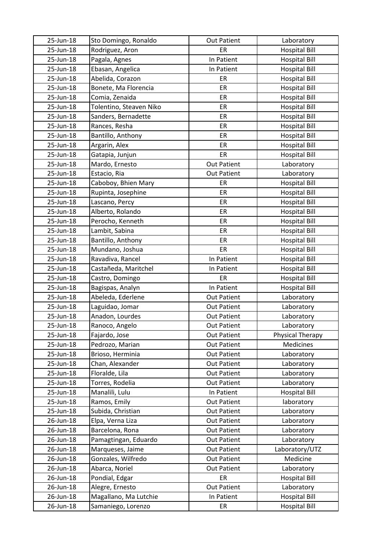| 25-Jun-18 | Sto Domingo, Ronaldo    | <b>Out Patient</b> | Laboratory              |
|-----------|-------------------------|--------------------|-------------------------|
| 25-Jun-18 | Rodriguez, Aron         | ER                 | <b>Hospital Bill</b>    |
| 25-Jun-18 | Pagala, Agnes           | In Patient         | <b>Hospital Bill</b>    |
| 25-Jun-18 | Ebasan, Angelica        | In Patient         | <b>Hospital Bill</b>    |
| 25-Jun-18 | Abelida, Corazon        | ER                 | <b>Hospital Bill</b>    |
| 25-Jun-18 | Bonete, Ma Florencia    | ER                 | <b>Hospital Bill</b>    |
| 25-Jun-18 | Comia, Zenaida          | ER                 | <b>Hospital Bill</b>    |
| 25-Jun-18 | Tolentino, Steaven Niko | ER                 | <b>Hospital Bill</b>    |
| 25-Jun-18 | Sanders, Bernadette     | ER                 | <b>Hospital Bill</b>    |
| 25-Jun-18 | Rances, Resha           | ER                 | <b>Hospital Bill</b>    |
| 25-Jun-18 | Bantillo, Anthony       | ER                 | <b>Hospital Bill</b>    |
| 25-Jun-18 | Argarin, Alex           | ER                 | <b>Hospital Bill</b>    |
| 25-Jun-18 | Gatapia, Junjun         | ER                 | <b>Hospital Bill</b>    |
| 25-Jun-18 | Mardo, Ernesto          | <b>Out Patient</b> | Laboratory              |
| 25-Jun-18 | Estacio, Ria            | <b>Out Patient</b> | Laboratory              |
| 25-Jun-18 | Caboboy, Bhien Mary     | ER                 | <b>Hospital Bill</b>    |
| 25-Jun-18 | Rupinta, Josephine      | ER                 | <b>Hospital Bill</b>    |
| 25-Jun-18 | Lascano, Percy          | ER                 | <b>Hospital Bill</b>    |
| 25-Jun-18 | Alberto, Rolando        | ER                 | <b>Hospital Bill</b>    |
| 25-Jun-18 | Perocho, Kenneth        | ER                 | <b>Hospital Bill</b>    |
| 25-Jun-18 | Lambit, Sabina          | ER                 | <b>Hospital Bill</b>    |
| 25-Jun-18 | Bantillo, Anthony       | ER                 | <b>Hospital Bill</b>    |
| 25-Jun-18 | Mundano, Joshua         | ER                 | <b>Hospital Bill</b>    |
| 25-Jun-18 | Ravadiva, Rancel        | In Patient         | <b>Hospital Bill</b>    |
| 25-Jun-18 | Castañeda, Maritchel    | In Patient         | <b>Hospital Bill</b>    |
| 25-Jun-18 | Castro, Domingo         | ER                 | <b>Hospital Bill</b>    |
| 25-Jun-18 | Bagispas, Analyn        | In Patient         | <b>Hospital Bill</b>    |
| 25-Jun-18 | Abeleda, Ederlene       | <b>Out Patient</b> | Laboratory              |
| 25-Jun-18 | Laguidao, Jomar         | <b>Out Patient</b> | Laboratory              |
| 25-Jun-18 | Anadon, Lourdes         | <b>Out Patient</b> | Laboratory              |
| 25-Jun-18 | Ranoco, Angelo          | <b>Out Patient</b> | Laboratory              |
| 25-Jun-18 | Fajardo, Jose           | <b>Out Patient</b> | <b>Physical Therapy</b> |
| 25-Jun-18 | Pedrozo, Marian         | <b>Out Patient</b> | Medicines               |
| 25-Jun-18 | Brioso, Herminia        | <b>Out Patient</b> | Laboratory              |
| 25-Jun-18 | Chan, Alexander         | <b>Out Patient</b> | Laboratory              |
| 25-Jun-18 | Floralde, Lila          | <b>Out Patient</b> | Laboratory              |
| 25-Jun-18 | Torres, Rodelia         | <b>Out Patient</b> | Laboratory              |
| 25-Jun-18 | Manalili, Lulu          | In Patient         | <b>Hospital Bill</b>    |
| 25-Jun-18 | Ramos, Emily            | <b>Out Patient</b> | laboratory              |
| 25-Jun-18 | Subida, Christian       | <b>Out Patient</b> | Laboratory              |
| 26-Jun-18 | Elpa, Verna Liza        | <b>Out Patient</b> | Laboratory              |
| 26-Jun-18 | Barcelona, Rona         | <b>Out Patient</b> | Laboratory              |
| 26-Jun-18 | Pamagtingan, Eduardo    | <b>Out Patient</b> | Laboratory              |
| 26-Jun-18 | Marqueses, Jaime        | <b>Out Patient</b> | Laboratory/UTZ          |
| 26-Jun-18 | Gonzales, Wilfredo      | <b>Out Patient</b> | Medicine                |
| 26-Jun-18 | Abarca, Noriel          | <b>Out Patient</b> | Laboratory              |
| 26-Jun-18 | Pondial, Edgar          | ER                 | <b>Hospital Bill</b>    |
| 26-Jun-18 | Alegre, Ernesto         | <b>Out Patient</b> | Laboratory              |
| 26-Jun-18 | Magallano, Ma Lutchie   | In Patient         | <b>Hospital Bill</b>    |
| 26-Jun-18 | Samaniego, Lorenzo      | ER                 | <b>Hospital Bill</b>    |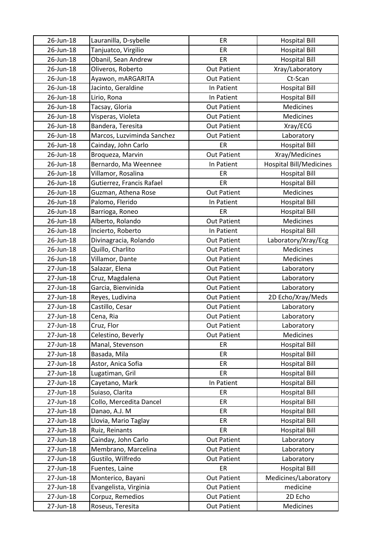| 26-Jun-18 | Lauranilla, D-sybelle      | ER                 | <b>Hospital Bill</b>           |
|-----------|----------------------------|--------------------|--------------------------------|
| 26-Jun-18 | Tanjuatco, Virgilio        | ER                 | <b>Hospital Bill</b>           |
| 26-Jun-18 | Obanil, Sean Andrew        | ER                 | <b>Hospital Bill</b>           |
| 26-Jun-18 | Oliveros, Roberto          | <b>Out Patient</b> | Xray/Laboratory                |
| 26-Jun-18 | Ayawon, mARGARITA          | <b>Out Patient</b> | Ct-Scan                        |
| 26-Jun-18 | Jacinto, Geraldine         | In Patient         | <b>Hospital Bill</b>           |
| 26-Jun-18 | Lirio, Rona                | In Patient         | <b>Hospital Bill</b>           |
| 26-Jun-18 | Tacsay, Gloria             | <b>Out Patient</b> | Medicines                      |
| 26-Jun-18 | Visperas, Violeta          | <b>Out Patient</b> | Medicines                      |
| 26-Jun-18 | Bandera, Teresita          | <b>Out Patient</b> | Xray/ECG                       |
| 26-Jun-18 | Marcos, Luzviminda Sanchez | <b>Out Patient</b> | Laboratory                     |
| 26-Jun-18 | Cainday, John Carlo        | ER                 | <b>Hospital Bill</b>           |
| 26-Jun-18 | Broqueza, Marvin           | <b>Out Patient</b> | Xray/Medicines                 |
| 26-Jun-18 | Bernardo, Ma Weennee       | In Patient         | <b>Hospital Bill/Medicines</b> |
| 26-Jun-18 | Villamor, Rosalina         | ER                 | <b>Hospital Bill</b>           |
| 26-Jun-18 | Gutierrez, Francis Rafael  | ER                 | <b>Hospital Bill</b>           |
| 26-Jun-18 | Guzman, Athena Rose        | <b>Out Patient</b> | Medicines                      |
| 26-Jun-18 | Palomo, Flerido            | In Patient         | <b>Hospital Bill</b>           |
| 26-Jun-18 | Barrioga, Roneo            | ER                 | <b>Hospital Bill</b>           |
| 26-Jun-18 | Alberto, Rolando           | <b>Out Patient</b> | Medicines                      |
| 26-Jun-18 | Incierto, Roberto          | In Patient         | <b>Hospital Bill</b>           |
| 26-Jun-18 | Divinagracia, Rolando      | <b>Out Patient</b> | Laboratory/Xray/Ecg            |
| 26-Jun-18 | Quillo, Charlito           | <b>Out Patient</b> | Medicines                      |
| 26-Jun-18 | Villamor, Dante            | <b>Out Patient</b> | Medicines                      |
| 27-Jun-18 | Salazar, Elena             | <b>Out Patient</b> | Laboratory                     |
| 27-Jun-18 | Cruz, Magdalena            | <b>Out Patient</b> | Laboratory                     |
| 27-Jun-18 | Garcia, Bienvinida         | <b>Out Patient</b> | Laboratory                     |
| 27-Jun-18 | Reyes, Ludivina            | <b>Out Patient</b> | 2D Echo/Xray/Meds              |
| 27-Jun-18 | Castillo, Cesar            | <b>Out Patient</b> | Laboratory                     |
| 27-Jun-18 | Cena, Ria                  | <b>Out Patient</b> | Laboratory                     |
| 27-Jun-18 | Cruz, Flor                 | <b>Out Patient</b> | Laboratory                     |
| 27-Jun-18 | Celestino, Beverly         | <b>Out Patient</b> | Medicines                      |
| 27-Jun-18 | Manal, Stevenson           | ER                 | <b>Hospital Bill</b>           |
| 27-Jun-18 | Basada, Mila               | ER                 | <b>Hospital Bill</b>           |
| 27-Jun-18 | Astor, Anica Sofia         | ER                 | <b>Hospital Bill</b>           |
| 27-Jun-18 | Lugatiman, Gril            | ER                 | <b>Hospital Bill</b>           |
| 27-Jun-18 | Cayetano, Mark             | In Patient         | <b>Hospital Bill</b>           |
| 27-Jun-18 | Suiaso, Clarita            | ER                 | <b>Hospital Bill</b>           |
| 27-Jun-18 | Collo, Mercedita Dancel    | ER                 | <b>Hospital Bill</b>           |
| 27-Jun-18 | Danao, A.J. M              | ER                 | <b>Hospital Bill</b>           |
| 27-Jun-18 | Llovia, Mario Taglay       | ER                 | <b>Hospital Bill</b>           |
| 27-Jun-18 | Ruiz, Reinants             | ER                 | <b>Hospital Bill</b>           |
| 27-Jun-18 | Cainday, John Carlo        | <b>Out Patient</b> | Laboratory                     |
| 27-Jun-18 | Membrano, Marcelina        | <b>Out Patient</b> | Laboratory                     |
| 27-Jun-18 | Gustilo, Wilfredo          | <b>Out Patient</b> | Laboratory                     |
| 27-Jun-18 | Fuentes, Laine             | ER                 | <b>Hospital Bill</b>           |
| 27-Jun-18 | Monterico, Bayani          | <b>Out Patient</b> | Medicines/Laboratory           |
| 27-Jun-18 | Evangelista, Virginia      | <b>Out Patient</b> | medicine                       |
| 27-Jun-18 | Corpuz, Remedios           | <b>Out Patient</b> | 2D Echo                        |
| 27-Jun-18 | Roseus, Teresita           | <b>Out Patient</b> | Medicines                      |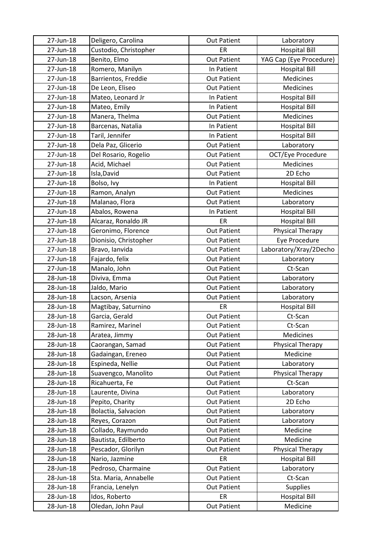| 27-Jun-18 | Deligero, Carolina    | <b>Out Patient</b> | Laboratory              |
|-----------|-----------------------|--------------------|-------------------------|
| 27-Jun-18 | Custodio, Christopher | ER                 | <b>Hospital Bill</b>    |
| 27-Jun-18 | Benito, Elmo          | <b>Out Patient</b> | YAG Cap (Eye Procedure) |
| 27-Jun-18 | Romero, Manilyn       | In Patient         | <b>Hospital Bill</b>    |
| 27-Jun-18 | Barrientos, Freddie   | <b>Out Patient</b> | Medicines               |
| 27-Jun-18 | De Leon, Eliseo       | <b>Out Patient</b> | Medicines               |
| 27-Jun-18 | Mateo, Leonard Jr     | In Patient         | <b>Hospital Bill</b>    |
| 27-Jun-18 | Mateo, Emily          | In Patient         | <b>Hospital Bill</b>    |
| 27-Jun-18 | Manera, Thelma        | <b>Out Patient</b> | Medicines               |
| 27-Jun-18 | Barcenas, Natalia     | In Patient         | <b>Hospital Bill</b>    |
| 27-Jun-18 | Taril, Jennifer       | In Patient         | <b>Hospital Bill</b>    |
| 27-Jun-18 | Dela Paz, Glicerio    | <b>Out Patient</b> | Laboratory              |
| 27-Jun-18 | Del Rosario, Rogelio  | <b>Out Patient</b> | OCT/Eye Procedure       |
| 27-Jun-18 | Acid, Michael         | <b>Out Patient</b> | Medicines               |
| 27-Jun-18 | Isla, David           | <b>Out Patient</b> | 2D Echo                 |
| 27-Jun-18 | Bolso, Ivy            | In Patient         | <b>Hospital Bill</b>    |
| 27-Jun-18 | Ramon, Analyn         | <b>Out Patient</b> | Medicines               |
| 27-Jun-18 | Malanao, Flora        | <b>Out Patient</b> | Laboratory              |
| 27-Jun-18 | Abalos, Rowena        | In Patient         | <b>Hospital Bill</b>    |
| 27-Jun-18 | Alcaraz, Ronaldo JR   | ER                 | <b>Hospital Bill</b>    |
| 27-Jun-18 | Geronimo, Florence    | <b>Out Patient</b> | Physical Therapy        |
| 27-Jun-18 | Dionisio, Christopher | <b>Out Patient</b> | Eye Procedure           |
| 27-Jun-18 | Bravo, lanvida        | <b>Out Patient</b> | Laboratory/Xray/2Decho  |
| 27-Jun-18 | Fajardo, felix        | <b>Out Patient</b> | Laboratory              |
| 27-Jun-18 | Manalo, John          | <b>Out Patient</b> | Ct-Scan                 |
| 28-Jun-18 | Diviva, Emma          | <b>Out Patient</b> | Laboratory              |
| 28-Jun-18 | Jaldo, Mario          | <b>Out Patient</b> | Laboratory              |
| 28-Jun-18 | Lacson, Arsenia       | <b>Out Patient</b> | Laboratory              |
| 28-Jun-18 | Magtibay, Saturnino   | ER                 | <b>Hospital Bill</b>    |
| 28-Jun-18 | Garcia, Gerald        | <b>Out Patient</b> | Ct-Scan                 |
| 28-Jun-18 | Ramirez, Marinel      | <b>Out Patient</b> | Ct-Scan                 |
| 28-Jun-18 | Aratea, Jimmy         | <b>Out Patient</b> | Medicines               |
| 28-Jun-18 | Caorangan, Samad      | <b>Out Patient</b> | Physical Therapy        |
| 28-Jun-18 | Gadaingan, Ereneo     | <b>Out Patient</b> | Medicine                |
| 28-Jun-18 | Espineda, Nellie      | <b>Out Patient</b> | Laboratory              |
| 28-Jun-18 | Suavengco, Manolito   | <b>Out Patient</b> | Physical Therapy        |
| 28-Jun-18 | Ricahuerta, Fe        | <b>Out Patient</b> | Ct-Scan                 |
| 28-Jun-18 | Laurente, Divina      | <b>Out Patient</b> | Laboratory              |
| 28-Jun-18 | Pepito, Charity       | <b>Out Patient</b> | 2D Echo                 |
| 28-Jun-18 | Bolactia, Salvacion   | <b>Out Patient</b> | Laboratory              |
| 28-Jun-18 | Reyes, Corazon        | <b>Out Patient</b> | Laboratory              |
| 28-Jun-18 | Collado, Raymundo     | <b>Out Patient</b> | Medicine                |
| 28-Jun-18 | Bautista, Edilberto   | <b>Out Patient</b> | Medicine                |
| 28-Jun-18 | Pescador, Glorilyn    | <b>Out Patient</b> | Physical Therapy        |
| 28-Jun-18 | Nario, Jazmine        | ER                 | <b>Hospital Bill</b>    |
| 28-Jun-18 | Pedroso, Charmaine    | <b>Out Patient</b> | Laboratory              |
| 28-Jun-18 | Sta. Maria, Annabelle | <b>Out Patient</b> | Ct-Scan                 |
| 28-Jun-18 | Francia, Lenelyn      | <b>Out Patient</b> | <b>Supplies</b>         |
| 28-Jun-18 | Idos, Roberto         | ER                 | <b>Hospital Bill</b>    |
| 28-Jun-18 | Oledan, John Paul     | <b>Out Patient</b> | Medicine                |